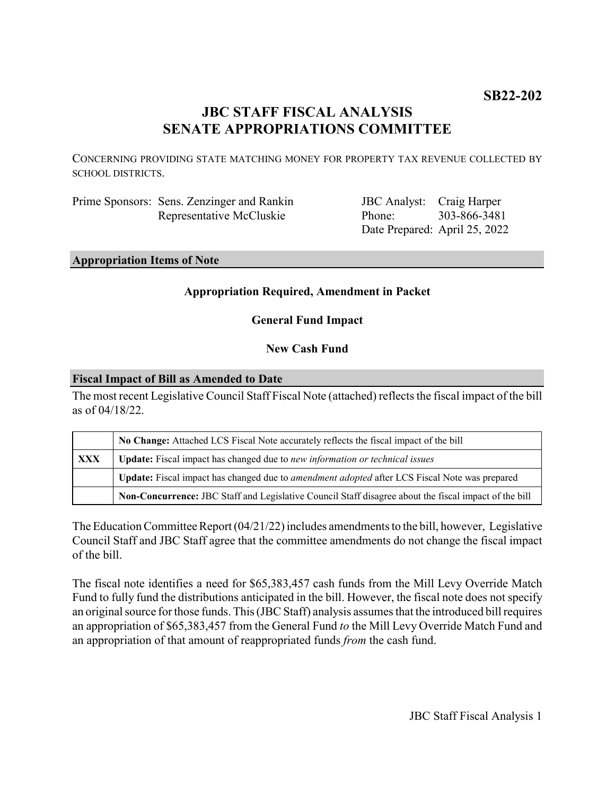# **JBC STAFF FISCAL ANALYSIS SENATE APPROPRIATIONS COMMITTEE**

CONCERNING PROVIDING STATE MATCHING MONEY FOR PROPERTY TAX REVENUE COLLECTED BY SCHOOL DISTRICTS.

| Prime Sponsors: Sens. Zenzinger and Rankin |
|--------------------------------------------|
| Representative McCluskie                   |

JBC Analyst: Craig Harper Phone: Date Prepared: April 25, 2022 303-866-3481

### **Appropriation Items of Note**

# **Appropriation Required, Amendment in Packet**

**General Fund Impact**

# **New Cash Fund**

#### **Fiscal Impact of Bill as Amended to Date**

The most recent Legislative Council Staff Fiscal Note (attached) reflects the fiscal impact of the bill as of 04/18/22.

|            | No Change: Attached LCS Fiscal Note accurately reflects the fiscal impact of the bill                 |
|------------|-------------------------------------------------------------------------------------------------------|
| <b>XXX</b> | <b>Update:</b> Fiscal impact has changed due to new information or technical issues                   |
|            | Update: Fiscal impact has changed due to <i>amendment adopted</i> after LCS Fiscal Note was prepared  |
|            | Non-Concurrence: JBC Staff and Legislative Council Staff disagree about the fiscal impact of the bill |

The Education Committee Report (04/21/22) includes amendments to the bill, however, Legislative Council Staff and JBC Staff agree that the committee amendments do not change the fiscal impact of the bill.

The fiscal note identifies a need for \$65,383,457 cash funds from the Mill Levy Override Match Fund to fully fund the distributions anticipated in the bill. However, the fiscal note does not specify an original source for those funds. This (JBC Staff) analysis assumes that the introduced bill requires an appropriation of \$65,383,457 from the General Fund *to* the Mill Levy Override Match Fund and an appropriation of that amount of reappropriated funds *from* the cash fund.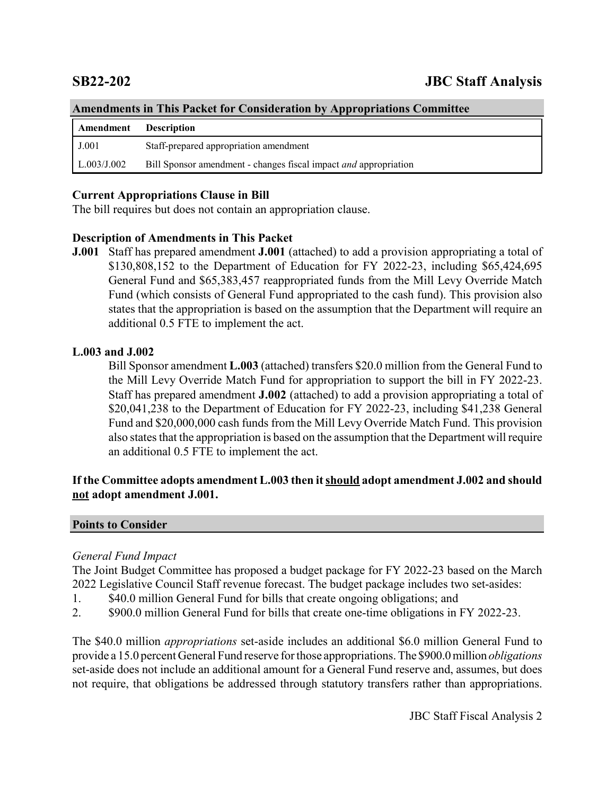| Amendments in This Packet for Consideration by Appropriations Committee |                                                                  |  |
|-------------------------------------------------------------------------|------------------------------------------------------------------|--|
| Amendment                                                               | <b>Description</b>                                               |  |
| J.001                                                                   | Staff-prepared appropriation amendment                           |  |
| $\mid$ L.003/J.002                                                      | Bill Sponsor amendment - changes fiscal impact and appropriation |  |

#### **Amendments in This Packet for Consideration by Appropriations Committee**

# **Current Appropriations Clause in Bill**

The bill requires but does not contain an appropriation clause.

# **Description of Amendments in This Packet**

**J.001** Staff has prepared amendment **J.001** (attached) to add a provision appropriating a total of \$130,808,152 to the Department of Education for FY 2022-23, including \$65,424,695 General Fund and \$65,383,457 reappropriated funds from the Mill Levy Override Match Fund (which consists of General Fund appropriated to the cash fund). This provision also states that the appropriation is based on the assumption that the Department will require an additional 0.5 FTE to implement the act.

# **L.003 and J.002**

Bill Sponsor amendment **L.003** (attached) transfers \$20.0 million from the General Fund to the Mill Levy Override Match Fund for appropriation to support the bill in FY 2022-23. Staff has prepared amendment **J.002** (attached) to add a provision appropriating a total of \$20,041,238 to the Department of Education for FY 2022-23, including \$41,238 General Fund and \$20,000,000 cash funds from the Mill Levy Override Match Fund. This provision also states that the appropriation is based on the assumption that the Department will require an additional 0.5 FTE to implement the act.

# **If the Committee adopts amendment L.003 then it should adopt amendment J.002 and should not adopt amendment J.001.**

# **Points to Consider**

# *General Fund Impact*

The Joint Budget Committee has proposed a budget package for FY 2022-23 based on the March 2022 Legislative Council Staff revenue forecast. The budget package includes two set-asides:

- 1. \$40.0 million General Fund for bills that create ongoing obligations; and
- 2. \$900.0 million General Fund for bills that create one-time obligations in FY 2022-23.

The \$40.0 million *appropriations* set-aside includes an additional \$6.0 million General Fund to provide a 15.0 percent General Fund reserve for those appropriations. The \$900.0 million *obligations* set-aside does not include an additional amount for a General Fund reserve and, assumes, but does not require, that obligations be addressed through statutory transfers rather than appropriations.